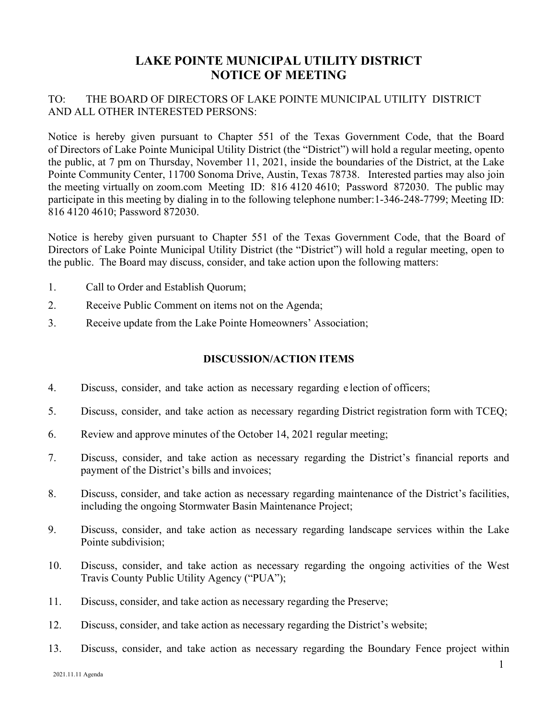## **LAKE POINTE MUNICIPAL UTILITY DISTRICT NOTICE OF MEETING**

## TO: THE BOARD OF DIRECTORS OF LAKE POINTE MUNICIPAL UTILITY DISTRICT AND ALL OTHER INTERESTED PERSONS:

Notice is hereby given pursuant to Chapter 551 of the Texas Government Code, that the Board of Directors of Lake Pointe Municipal Utility District (the "District") will hold a regular meeting, opento the public, at 7 pm on Thursday, November 11, 2021, inside the boundaries of the District, at the Lake Pointe Community Center, 11700 Sonoma Drive, Austin, Texas 78738. Interested parties may also join the meeting virtually on zoom.com Meeting ID: 816 4120 4610; Password 872030. The public may participate in this meeting by dialing in to the following telephone number:1-346-248-7799; Meeting ID: 816 4120 4610; Password 872030.

Notice is hereby given pursuant to Chapter 551 of the Texas Government Code, that the Board of Directors of Lake Pointe Municipal Utility District (the "District") will hold a regular meeting, open to the public. The Board may discuss, consider, and take action upon the following matters:

- 1. Call to Order and Establish Quorum;
- 2. Receive Public Comment on items not on the Agenda;
- 3. Receive update from the Lake Pointe Homeowners' Association;

## **DISCUSSION/ACTION ITEMS**

- 4. Discuss, consider, and take action as necessary regarding e lection of officers;
- 5. Discuss, consider, and take action as necessary regarding District registration form with TCEQ;
- 6. Review and approve minutes of the October 14, 2021 regular meeting;
- 7. Discuss, consider, and take action as necessary regarding the District's financial reports and payment of the District's bills and invoices;
- 8. Discuss, consider, and take action as necessary regarding maintenance of the District's facilities, including the ongoing Stormwater Basin Maintenance Project;
- 9. Discuss, consider, and take action as necessary regarding landscape services within the Lake Pointe subdivision;
- 10. Discuss, consider, and take action as necessary regarding the ongoing activities of the West Travis County Public Utility Agency ("PUA");
- 11. Discuss, consider, and take action as necessary regarding the Preserve;
- 12. Discuss, consider, and take action as necessary regarding the District's website;
- 13. Discuss, consider, and take action as necessary regarding the Boundary Fence project within